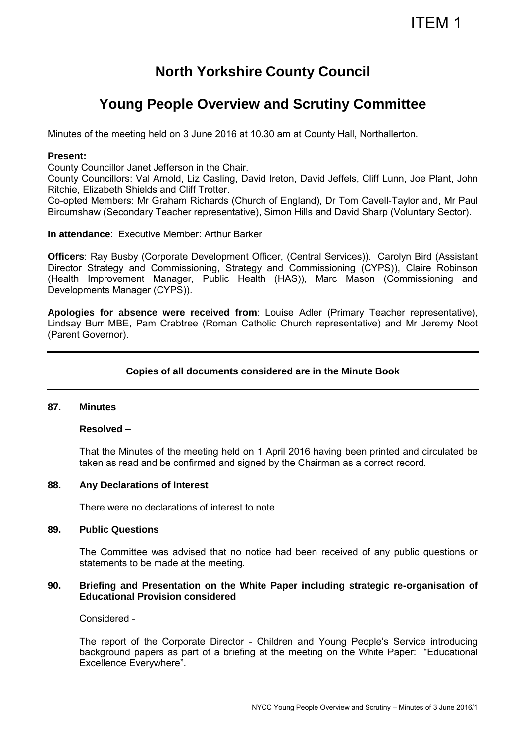# ITEM 1

# **North Yorkshire County Council**

# **Young People Overview and Scrutiny Committee**

Minutes of the meeting held on 3 June 2016 at 10.30 am at County Hall, Northallerton.

### **Present:**

County Councillor Janet Jefferson in the Chair.

County Councillors: Val Arnold, Liz Casling, David Ireton, David Jeffels, Cliff Lunn, Joe Plant, John Ritchie, Elizabeth Shields and Cliff Trotter.

Co-opted Members: Mr Graham Richards (Church of England), Dr Tom Cavell-Taylor and, Mr Paul Bircumshaw (Secondary Teacher representative), Simon Hills and David Sharp (Voluntary Sector).

**In attendance**: Executive Member: Arthur Barker

**Officers**: Ray Busby (Corporate Development Officer, (Central Services)). Carolyn Bird (Assistant Director Strategy and Commissioning, Strategy and Commissioning (CYPS)), Claire Robinson (Health Improvement Manager, Public Health (HAS)), Marc Mason (Commissioning and Developments Manager (CYPS)).

**Apologies for absence were received from**: Louise Adler (Primary Teacher representative), Lindsay Burr MBE, Pam Crabtree (Roman Catholic Church representative) and Mr Jeremy Noot (Parent Governor).

# **Copies of all documents considered are in the Minute Book**

#### **87. Minutes**

# **Resolved –**

That the Minutes of the meeting held on 1 April 2016 having been printed and circulated be taken as read and be confirmed and signed by the Chairman as a correct record.

#### **88. Any Declarations of Interest**

There were no declarations of interest to note.

#### **89. Public Questions**

The Committee was advised that no notice had been received of any public questions or statements to be made at the meeting.

### **90. Briefing and Presentation on the White Paper including strategic re-organisation of Educational Provision considered**

Considered -

The report of the Corporate Director - Children and Young People's Service introducing background papers as part of a briefing at the meeting on the White Paper: "Educational Excellence Everywhere".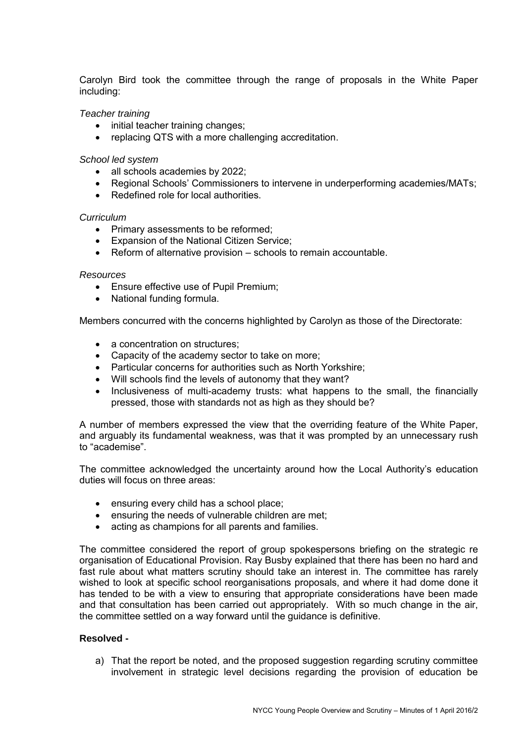Carolyn Bird took the committee through the range of proposals in the White Paper including:

# *Teacher training*

- initial teacher training changes;
- replacing QTS with a more challenging accreditation.

#### *School led system*

- all schools academies by 2022;<br>• Regional Schools' Commissione
- Regional Schools' Commissioners to intervene in underperforming academies/MATs;
- Redefined role for local authorities.

#### *Curriculum*

- Primary assessments to be reformed;
- Expansion of the National Citizen Service;
- Reform of alternative provision schools to remain accountable.

#### *Resources*

- Ensure effective use of Pupil Premium;
- National funding formula.

Members concurred with the concerns highlighted by Carolyn as those of the Directorate:

- a concentration on structures:
- Capacity of the academy sector to take on more;
- Particular concerns for authorities such as North Yorkshire;
- Will schools find the levels of autonomy that they want?
- Inclusiveness of multi-academy trusts: what happens to the small, the financially pressed, those with standards not as high as they should be?

A number of members expressed the view that the overriding feature of the White Paper, and arguably its fundamental weakness, was that it was prompted by an unnecessary rush to "academise".

The committee acknowledged the uncertainty around how the Local Authority's education duties will focus on three areas:

- ensuring every child has a school place;
- ensuring the needs of vulnerable children are met;
- acting as champions for all parents and families.

The committee considered the report of group spokespersons briefing on the strategic re organisation of Educational Provision. Ray Busby explained that there has been no hard and fast rule about what matters scrutiny should take an interest in. The committee has rarely wished to look at specific school reorganisations proposals, and where it had dome done it has tended to be with a view to ensuring that appropriate considerations have been made and that consultation has been carried out appropriately. With so much change in the air, the committee settled on a way forward until the guidance is definitive.

#### **Resolved -**

a) That the report be noted, and the proposed suggestion regarding scrutiny committee involvement in strategic level decisions regarding the provision of education be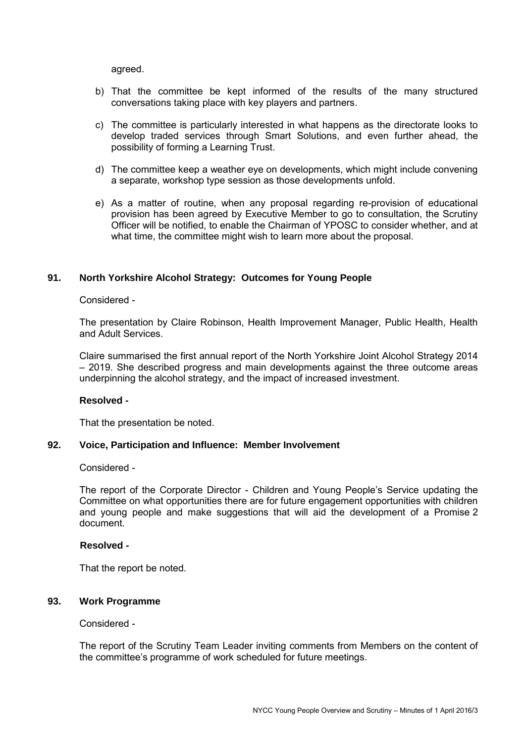agreed.

- b) That the committee be kept informed of the results of the many structured conversations taking place with key players and partners.
- c) The committee is particularly interested in what happens as the directorate looks to develop traded services through Smart Solutions, and even further ahead, the possibility of forming a Learning Trust.
- d) The committee keep a weather eye on developments, which might include convening a separate, workshop type session as those developments unfold.
- e) As a matter of routine, when any proposal regarding re-provision of educational provision has been agreed by Executive Member to go to consultation, the Scrutiny Officer will be notified, to enable the Chairman of YPOSC to consider whether, and at what time, the committee might wish to learn more about the proposal.

# **91. North Yorkshire Alcohol Strategy: Outcomes for Young People**

#### Considered -

The presentation by Claire Robinson, Health Improvement Manager, Public Health, Health and Adult Services.

Claire summarised the first annual report of the North Yorkshire Joint Alcohol Strategy 2014 – 2019. She described progress and main developments against the three outcome areas underpinning the alcohol strategy, and the impact of increased investment.

#### **Resolved -**

That the presentation be noted.

#### **92. Voice, Participation and Influence: Member Involvement**

#### Considered -

 The report of the Corporate Director - Children and Young People's Service updating the Committee on what opportunities there are for future engagement opportunities with children and young people and make suggestions that will aid the development of a Promise 2 document.

# **Resolved -**

That the report be noted.

#### **93. Work Programme**

#### Considered -

The report of the Scrutiny Team Leader inviting comments from Members on the content of the committee's programme of work scheduled for future meetings.